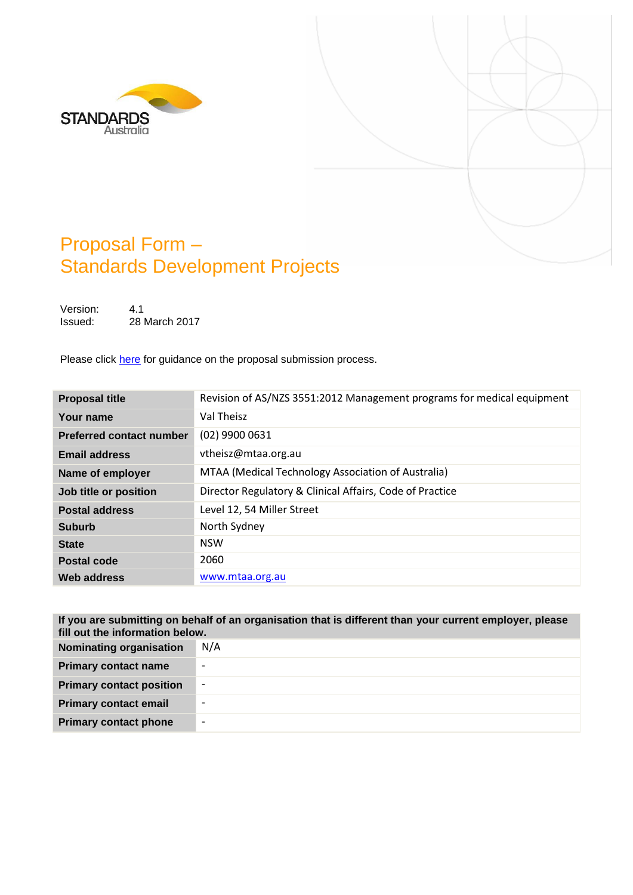



# Proposal Form – Standards Development Projects

Version: 4.1 Issued: 28 March 2017

Please click [here](#page-7-0) for guidance on the proposal submission process.

| <b>Proposal title</b>           | Revision of AS/NZS 3551:2012 Management programs for medical equipment |
|---------------------------------|------------------------------------------------------------------------|
| Your name                       | Val Theisz                                                             |
| <b>Preferred contact number</b> | $(02)$ 9900 0631                                                       |
| <b>Email address</b>            | vtheisz@mtaa.org.au                                                    |
| Name of employer                | MTAA (Medical Technology Association of Australia)                     |
| Job title or position           | Director Regulatory & Clinical Affairs, Code of Practice               |
| <b>Postal address</b>           | Level 12, 54 Miller Street                                             |
| <b>Suburb</b>                   | North Sydney                                                           |
| <b>State</b>                    | <b>NSW</b>                                                             |
| <b>Postal code</b>              | 2060                                                                   |
| Web address                     | www.mtaa.org.au                                                        |

| If you are submitting on behalf of an organisation that is different than your current employer, please<br>fill out the information below. |                          |  |
|--------------------------------------------------------------------------------------------------------------------------------------------|--------------------------|--|
| <b>Nominating organisation</b>                                                                                                             | N/A                      |  |
| <b>Primary contact name</b>                                                                                                                |                          |  |
| <b>Primary contact position</b>                                                                                                            | $\overline{\phantom{a}}$ |  |
| <b>Primary contact email</b>                                                                                                               | $\overline{\phantom{0}}$ |  |
| <b>Primary contact phone</b>                                                                                                               | $\overline{\phantom{0}}$ |  |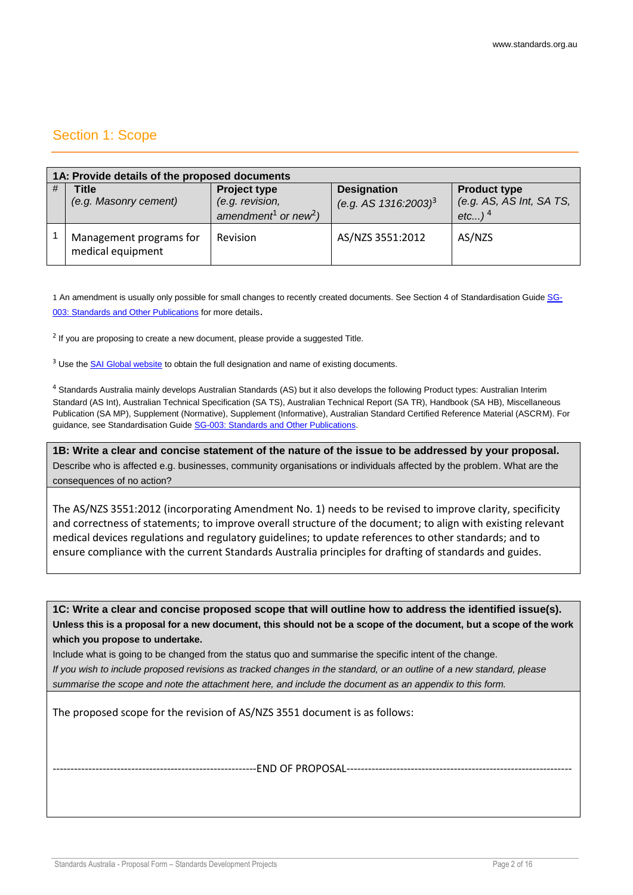# Section 1: Scope

|   | 1A: Provide details of the proposed documents |                                                                                        |                                                           |                                                              |  |  |
|---|-----------------------------------------------|----------------------------------------------------------------------------------------|-----------------------------------------------------------|--------------------------------------------------------------|--|--|
| # | <b>Title</b><br>(e.g. Masonry cement)         | <b>Project type</b><br>(e.g. revision,<br>amendment <sup>1</sup> or new <sup>2</sup> ) | <b>Designation</b><br>(e.g. AS $1316:2003$ ) <sup>3</sup> | <b>Product type</b><br>(e.g. AS, AS Int, SA TS,<br>etc $)^4$ |  |  |
|   | Management programs for<br>medical equipment  | Revision                                                                               | AS/NZS 3551:2012                                          | AS/NZS                                                       |  |  |

1 An amendment is usually only possible for small changes to recently created documents. See Section 4 of Standardisation Guide [SG-](http://www.standards.org.au/StandardsDevelopment/Developing_Standards/Documents/SG-003%20Standards%20and%20Other%20Publications.pdf)[003: Standards and Other Publications](http://www.standards.org.au/StandardsDevelopment/Developing_Standards/Documents/SG-003%20Standards%20and%20Other%20Publications.pdf) for more details.

 $2$  If you are proposing to create a new document, please provide a suggested Title.

<sup>3</sup> Use the [SAI Global website](https://infostore.saiglobal.com/) to obtain the full designation and name of existing documents.

<sup>4</sup> Standards Australia mainly develops Australian Standards (AS) but it also develops the following Product types: Australian Interim Standard (AS Int), Australian Technical Specification (SA TS), Australian Technical Report (SA TR), Handbook (SA HB), Miscellaneous Publication (SA MP), Supplement (Normative), Supplement (Informative), Australian Standard Certified Reference Material (ASCRM). For guidance, see Standardisation Guide [SG-003: Standards and Other Publications.](http://www.standards.org.au/StandardsDevelopment/Developing_Standards/Documents/SG-003%20Standards%20and%20Other%20Publications.pdf)

**1B: Write a clear and concise statement of the nature of the issue to be addressed by your proposal.**  Describe who is affected e.g. businesses, community organisations or individuals affected by the problem. What are the consequences of no action?

The AS/NZS 3551:2012 (incorporating Amendment No. 1) needs to be revised to improve clarity, specificity and correctness of statements; to improve overall structure of the document; to align with existing relevant medical devices regulations and regulatory guidelines; to update references to other standards; and to ensure compliance with the current Standards Australia principles for drafting of standards and guides.

**1C: Write a clear and concise proposed scope that will outline how to address the identified issue(s). Unless this is a proposal for a new document, this should not be a scope of the document, but a scope of the work which you propose to undertake.**

Include what is going to be changed from the status quo and summarise the specific intent of the change. *If you wish to include proposed revisions as tracked changes in the standard, or an outline of a new standard, please summarise the scope and note the attachment here, and include the document as an appendix to this form.*

The proposed scope for the revision of AS/NZS 3551 document is as follows:

-----------------END OF PROPOSAL--------------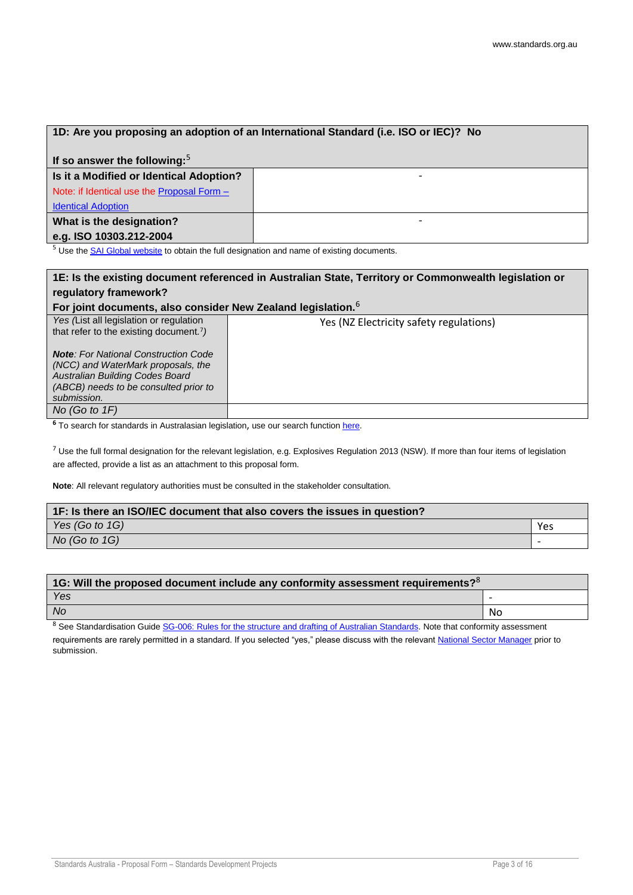|  |  |  | 1D: Are you proposing an adoption of an International Standard (i.e. ISO or IEC)? No |  |  |
|--|--|--|--------------------------------------------------------------------------------------|--|--|
|--|--|--|--------------------------------------------------------------------------------------|--|--|

| If so answer the following: $5$              |                          |  |  |
|----------------------------------------------|--------------------------|--|--|
| Is it a Modified or Identical Adoption?      | $\overline{\phantom{0}}$ |  |  |
| Note: if Identical use the Proposal Form $-$ |                          |  |  |
| <b>Identical Adoption</b>                    |                          |  |  |
| What is the designation?                     | $\overline{\phantom{0}}$ |  |  |
| e.g. ISO 10303.212-2004                      |                          |  |  |

<sup>5</sup> Use the **SAI Global website** to obtain the full designation and name of existing documents.

# **1E: Is the existing document referenced in Australian State, Territory or Commonwealth legislation or regulatory framework?**

#### **For joint documents, also consider New Zealand legislation.**<sup>6</sup>

| <u>I OF JUINT QUUQHIIGHTS, AISU CUIISIUGI INGW ZGAIAHU IGYISIANUH.</u>                                                                                                       |                                         |
|------------------------------------------------------------------------------------------------------------------------------------------------------------------------------|-----------------------------------------|
| Yes (List all legislation or regulation<br>that refer to the existing document. <sup>7</sup> )                                                                               | Yes (NZ Electricity safety regulations) |
| <b>Note:</b> For National Construction Code<br>(NCC) and WaterMark proposals, the<br>Australian Building Codes Board<br>(ABCB) needs to be consulted prior to<br>submission. |                                         |
| No (Go to $1F$ )                                                                                                                                                             |                                         |

<sup>6</sup> To search for standards in Australasian legislation, use our search functio[n here.](http://www.standards.org.au/StandardsDevelopment/What_is_a_Standard/Pages/Standards-and-the-Law.aspx)

 $7$  Use the full formal designation for the relevant legislation, e.g. Explosives Regulation 2013 (NSW). If more than four items of legislation are affected, provide a list as an attachment to this proposal form.

**Note**: All relevant regulatory authorities must be consulted in the stakeholder consultation.

| 1F: Is there an ISO/IEC document that also covers the issues in question? |     |  |
|---------------------------------------------------------------------------|-----|--|
| Yes $(Got \circ t \circ 1)$                                               | Yes |  |
| No (Go to $1G$ )                                                          |     |  |

| $\mid$ 1G: Will the proposed document include any conformity assessment requirements? <sup>8</sup> |    |  |
|----------------------------------------------------------------------------------------------------|----|--|
| Yes                                                                                                |    |  |
| <b>No</b>                                                                                          | No |  |

 $8$  See Standardisation Guide [SG-006: Rules for the structure and drafting of Australian Standards.](http://www.standards.org.au/StandardsDevelopment/Developing_Standards/Documents/SG-006%20Rules%20for%20the%20Structure%20and%20Drafting%20of%20Australian%20Standards.pdf) Note that conformity assessment requirements are rarely permitted in a standard. If you selected "yes," please discuss with the relevant [National Sector Manager](http://www.standards.org.au/StandardsDevelopment/Developing_Standards/Pages/National-Sector-Managers.aspx) prior to submission.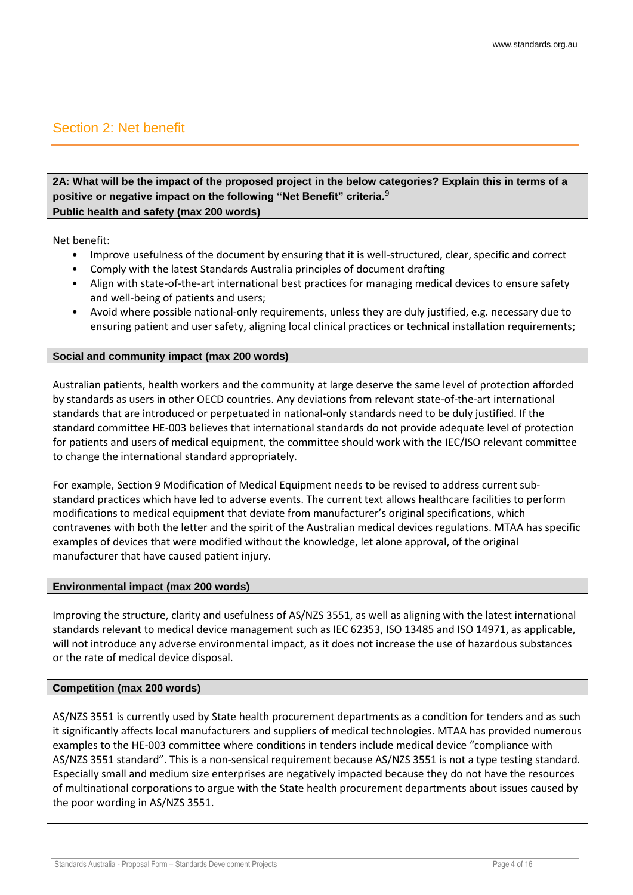## Section 2: Net benefit

## **2A: What will be the impact of the proposed project in the below categories? Explain this in terms of a positive or negative impact on the following "Net Benefit" criteria***.* 9

**Public health and safety (max 200 words)**

Net benefit:

- Improve usefulness of the document by ensuring that it is well-structured, clear, specific and correct
- Comply with the latest Standards Australia principles of document drafting
- Align with state-of-the-art international best practices for managing medical devices to ensure safety and well-being of patients and users;
- Avoid where possible national-only requirements, unless they are duly justified, e.g. necessary due to ensuring patient and user safety, aligning local clinical practices or technical installation requirements;

### **Social and community impact (max 200 words)**

Australian patients, health workers and the community at large deserve the same level of protection afforded by standards as users in other OECD countries. Any deviations from relevant state-of-the-art international standards that are introduced or perpetuated in national-only standards need to be duly justified. If the standard committee HE-003 believes that international standards do not provide adequate level of protection for patients and users of medical equipment, the committee should work with the IEC/ISO relevant committee to change the international standard appropriately.

For example, Section 9 Modification of Medical Equipment needs to be revised to address current substandard practices which have led to adverse events. The current text allows healthcare facilities to perform modifications to medical equipment that deviate from manufacturer's original specifications, which contravenes with both the letter and the spirit of the Australian medical devices regulations. MTAA has specific examples of devices that were modified without the knowledge, let alone approval, of the original manufacturer that have caused patient injury.

### **Environmental impact (max 200 words)**

Improving the structure, clarity and usefulness of AS/NZS 3551, as well as aligning with the latest international standards relevant to medical device management such as IEC 62353, ISO 13485 and ISO 14971, as applicable, will not introduce any adverse environmental impact, as it does not increase the use of hazardous substances or the rate of medical device disposal.

### **Competition (max 200 words)**

AS/NZS 3551 is currently used by State health procurement departments as a condition for tenders and as such it significantly affects local manufacturers and suppliers of medical technologies. MTAA has provided numerous examples to the HE-003 committee where conditions in tenders include medical device "compliance with AS/NZS 3551 standard". This is a non-sensical requirement because AS/NZS 3551 is not a type testing standard. Especially small and medium size enterprises are negatively impacted because they do not have the resources of multinational corporations to argue with the State health procurement departments about issues caused by the poor wording in AS/NZS 3551.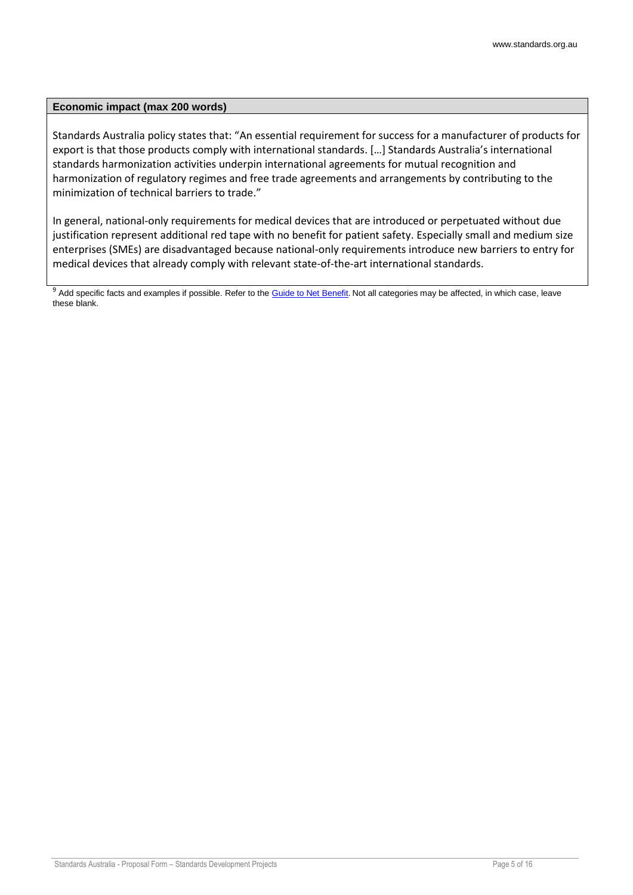#### **Economic impact (max 200 words)**

Standards Australia policy states that: "An essential requirement for success for a manufacturer of products for export is that those products comply with international standards. […] Standards Australia's international standards harmonization activities underpin international agreements for mutual recognition and harmonization of regulatory regimes and free trade agreements and arrangements by contributing to the minimization of technical barriers to trade."

In general, national-only requirements for medical devices that are introduced or perpetuated without due justification represent additional red tape with no benefit for patient safety. Especially small and medium size enterprises (SMEs) are disadvantaged because national-only requirements introduce new barriers to entry for medical devices that already comply with relevant state-of-the-art international standards.

<sup>9</sup> Add specific facts and examples if possible. Refer to the [Guide to Net Benefit.](http://www.standards.org.au/StandardsDevelopment/What_is_a_Standard/Documents/GU%20103%20-%20Guide%20to%20Net%20Benefit.pdf) Not all categories may be affected, in which case, leave these blank.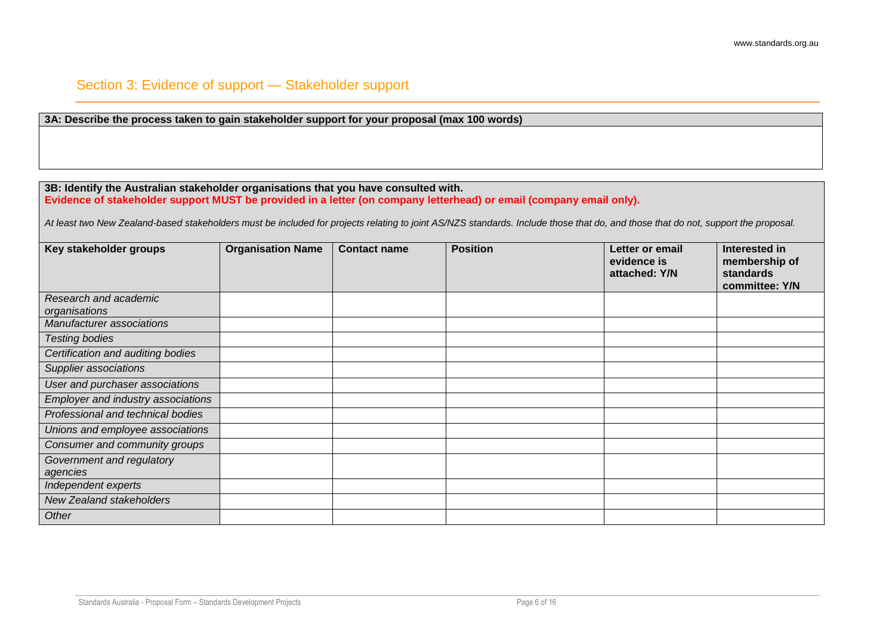### Section 3: Evidence of support — Stakeholder support

### **3A: Describe the process taken to gain stakeholder support for your proposal (max 100 words)**

#### **3B: Identify the Australian stakeholder organisations that you have consulted with.**

#### **Evidence of stakeholder support MUST be provided in a letter (on company letterhead) or email (company email only).**

*At least two New Zealand-based stakeholders must be included for projects relating to joint AS/NZS standards. Include those that do, and those that do not, support the proposal.*

| Key stakeholder groups             | <b>Organisation Name</b> | <b>Contact name</b> | <b>Position</b> | Letter or email<br>evidence is<br>attached: Y/N | Interested in<br>membership of<br>standards<br>committee: Y/N |
|------------------------------------|--------------------------|---------------------|-----------------|-------------------------------------------------|---------------------------------------------------------------|
| Research and academic              |                          |                     |                 |                                                 |                                                               |
| organisations                      |                          |                     |                 |                                                 |                                                               |
| Manufacturer associations          |                          |                     |                 |                                                 |                                                               |
| <b>Testing bodies</b>              |                          |                     |                 |                                                 |                                                               |
| Certification and auditing bodies  |                          |                     |                 |                                                 |                                                               |
| Supplier associations              |                          |                     |                 |                                                 |                                                               |
| User and purchaser associations    |                          |                     |                 |                                                 |                                                               |
| Employer and industry associations |                          |                     |                 |                                                 |                                                               |
| Professional and technical bodies  |                          |                     |                 |                                                 |                                                               |
| Unions and employee associations   |                          |                     |                 |                                                 |                                                               |
| Consumer and community groups      |                          |                     |                 |                                                 |                                                               |
| Government and regulatory          |                          |                     |                 |                                                 |                                                               |
| agencies                           |                          |                     |                 |                                                 |                                                               |
| Independent experts                |                          |                     |                 |                                                 |                                                               |
| <b>New Zealand stakeholders</b>    |                          |                     |                 |                                                 |                                                               |
| Other                              |                          |                     |                 |                                                 |                                                               |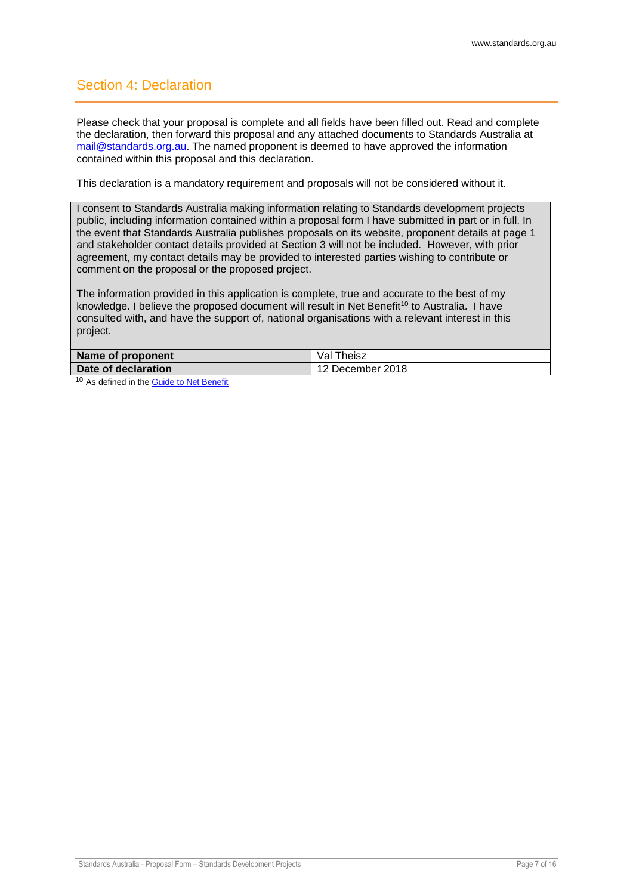# Section 4: Declaration

Please check that your proposal is complete and all fields have been filled out. Read and complete the declaration, then forward this proposal and any attached documents to Standards Australia at [mail@standards.org.au.](mailto:mail@standards.org.au) The named proponent is deemed to have approved the information contained within this proposal and this declaration.

This declaration is a mandatory requirement and proposals will not be considered without it.

I consent to Standards Australia making information relating to Standards development projects public, including information contained within a proposal form I have submitted in part or in full. In the event that Standards Australia publishes proposals on its website, proponent details at page 1 and stakeholder contact details provided at Section 3 will not be included. However, with prior agreement, my contact details may be provided to interested parties wishing to contribute or comment on the proposal or the proposed project.

The information provided in this application is complete, true and accurate to the best of my knowledge. I believe the proposed document will result in Net Benefit<sup>10</sup> to Australia. I have consulted with, and have the support of, national organisations with a relevant interest in this project.

| Name of proponent   | Val<br>Theisz    |
|---------------------|------------------|
| Date of declaration | 12 December 2018 |
| $\sim$              |                  |

<sup>10</sup> As defined in th[e Guide to Net Benefit](http://www.standards.org.au/StandardsDevelopment/What_is_a_Standard/Documents/GU%20103%20-%20Guide%20to%20Net%20Benefit.pdf)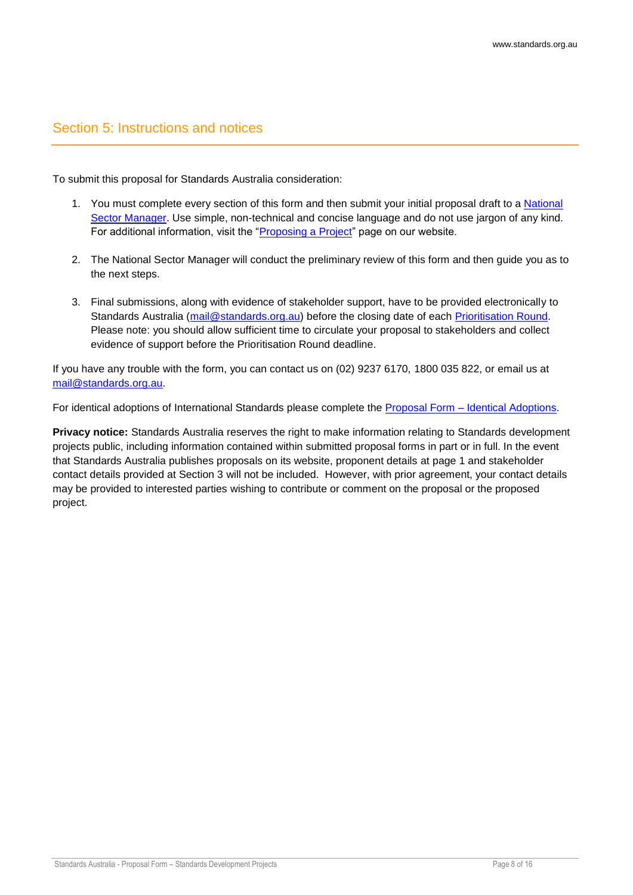### <span id="page-7-0"></span>Section 5: Instructions and notices

To submit this proposal for Standards Australia consideration:

- 1. You must complete every section of this form and then submit your initial proposal draft to a National [Sector Manager.](http://www.standards.org.au/StandardsDevelopment/Developing_Standards/Pages/National-Sector-Managers.aspx) Use simple, non-technical and concise language and do not use jargon of any kind. For additional information, visit the ["Proposing a Project"](http://www.standards.org.au/StandardsDevelopment/Developing_Standards/Pages/Proposing-a-project.aspx) page on our website.
- 2. The National Sector Manager will conduct the preliminary review of this form and then guide you as to the next steps.
- 3. Final submissions, along with evidence of stakeholder support, have to be provided electronically to Standards Australia [\(mail@standards.org.au\)](mailto:mail@standards.org.au) before the closing date of each [Prioritisation Round.](http://www.standards.org.au/StandardsDevelopment/Developing_Standards/Pages/Proposing-a-project.aspx) Please note: you should allow sufficient time to circulate your proposal to stakeholders and collect evidence of support before the Prioritisation Round deadline.

If you have any trouble with the form, you can contact us on (02) 9237 6170, 1800 035 822, or email us at [mail@standards.org.au.](mailto:mail@standards.org.au)

For identical adoptions of International Standards please complete the [Proposal Form –](http://www.standards.org.au/StandardsDevelopment/Developing_Standards/Documents/Proposal_Form_-_Identical%20Adoption.doc) Identical Adoptions.

**Privacy notice:** Standards Australia reserves the right to make information relating to Standards development projects public, including information contained within submitted proposal forms in part or in full. In the event that Standards Australia publishes proposals on its website, proponent details at page 1 and stakeholder contact details provided at Section 3 will not be included. However, with prior agreement, your contact details may be provided to interested parties wishing to contribute or comment on the proposal or the proposed project.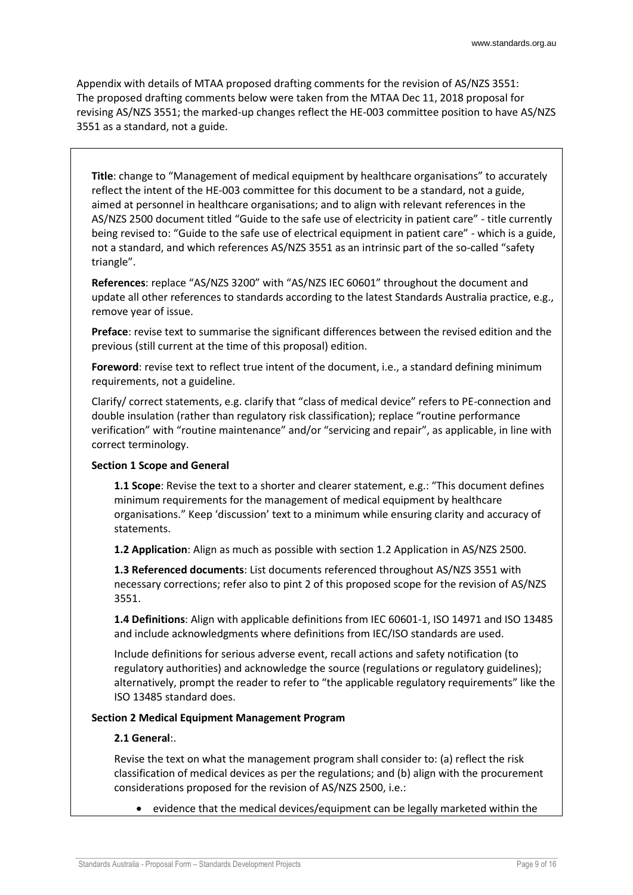Appendix with details of MTAA proposed drafting comments for the revision of AS/NZS 3551: The proposed drafting comments below were taken from the MTAA Dec 11, 2018 proposal for revising AS/NZS 3551; the marked-up changes reflect the HE-003 committee position to have AS/NZS 3551 as a standard, not a guide.

**Title**: change to "Management of medical equipment by healthcare organisations" to accurately reflect the intent of the HE-003 committee for this document to be a standard, not a guide, aimed at personnel in healthcare organisations; and to align with relevant references in the AS/NZS 2500 document titled "Guide to the safe use of electricity in patient care" - title currently being revised to: "Guide to the safe use of electrical equipment in patient care" - which is a guide, not a standard, and which references AS/NZS 3551 as an intrinsic part of the so-called "safety triangle".

**References**: replace "AS/NZS 3200" with "AS/NZS IEC 60601" throughout the document and update all other references to standards according to the latest Standards Australia practice, e.g., remove year of issue.

**Preface**: revise text to summarise the significant differences between the revised edition and the previous (still current at the time of this proposal) edition.

**Foreword**: revise text to reflect true intent of the document, i.e., a standard defining minimum requirements, not a guideline.

Clarify/ correct statements, e.g. clarify that "class of medical device" refers to PE-connection and double insulation (rather than regulatory risk classification); replace "routine performance verification" with "routine maintenance" and/or "servicing and repair", as applicable, in line with correct terminology.

#### **Section 1 Scope and General**

**1.1 Scope**: Revise the text to a shorter and clearer statement, e.g.: "This document defines minimum requirements for the management of medical equipment by healthcare organisations." Keep 'discussion' text to a minimum while ensuring clarity and accuracy of statements.

**1.2 Application**: Align as much as possible with section 1.2 Application in AS/NZS 2500.

**1.3 Referenced documents**: List documents referenced throughout AS/NZS 3551 with necessary corrections; refer also to pint 2 of this proposed scope for the revision of AS/NZS 3551.

**1.4 Definitions**: Align with applicable definitions from IEC 60601-1, ISO 14971 and ISO 13485 and include acknowledgments where definitions from IEC/ISO standards are used.

Include definitions for serious adverse event, recall actions and safety notification (to regulatory authorities) and acknowledge the source (regulations or regulatory guidelines); alternatively, prompt the reader to refer to "the applicable regulatory requirements" like the ISO 13485 standard does.

#### **Section 2 Medical Equipment Management Program**

#### **2.1 General**:.

Revise the text on what the management program shall consider to: (a) reflect the risk classification of medical devices as per the regulations; and (b) align with the procurement considerations proposed for the revision of AS/NZS 2500, i.e.:

• evidence that the medical devices/equipment can be legally marketed within the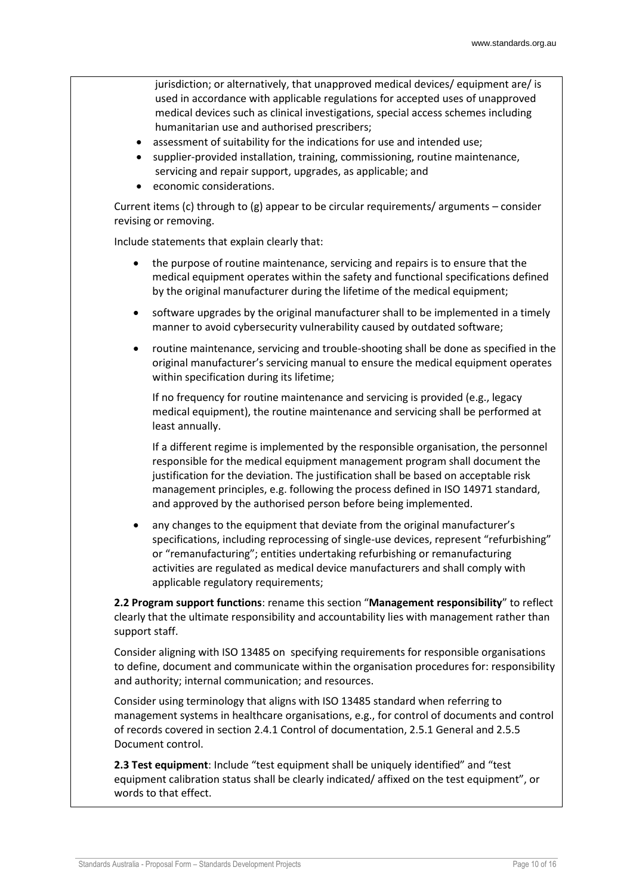jurisdiction; or alternatively, that unapproved medical devices/ equipment are/ is used in accordance with applicable regulations for accepted uses of unapproved medical devices such as clinical investigations, special access schemes including humanitarian use and authorised prescribers;

- assessment of suitability for the indications for use and intended use;
- supplier-provided installation, training, commissioning, routine maintenance, servicing and repair support, upgrades, as applicable; and
- economic considerations.

Current items (c) through to (g) appear to be circular requirements/ arguments – consider revising or removing.

Include statements that explain clearly that:

- the purpose of routine maintenance, servicing and repairs is to ensure that the medical equipment operates within the safety and functional specifications defined by the original manufacturer during the lifetime of the medical equipment;
- software upgrades by the original manufacturer shall to be implemented in a timely manner to avoid cybersecurity vulnerability caused by outdated software;
- routine maintenance, servicing and trouble-shooting shall be done as specified in the original manufacturer's servicing manual to ensure the medical equipment operates within specification during its lifetime;

If no frequency for routine maintenance and servicing is provided (e.g., legacy medical equipment), the routine maintenance and servicing shall be performed at least annually.

If a different regime is implemented by the responsible organisation, the personnel responsible for the medical equipment management program shall document the justification for the deviation. The justification shall be based on acceptable risk management principles, e.g. following the process defined in ISO 14971 standard, and approved by the authorised person before being implemented.

any changes to the equipment that deviate from the original manufacturer's specifications, including reprocessing of single-use devices, represent "refurbishing" or "remanufacturing"; entities undertaking refurbishing or remanufacturing activities are regulated as medical device manufacturers and shall comply with applicable regulatory requirements;

**2.2 Program support functions**: rename this section "**Management responsibility**" to reflect clearly that the ultimate responsibility and accountability lies with management rather than support staff.

Consider aligning with ISO 13485 on specifying requirements for responsible organisations to define, document and communicate within the organisation procedures for: responsibility and authority; internal communication; and resources.

Consider using terminology that aligns with ISO 13485 standard when referring to management systems in healthcare organisations, e.g., for control of documents and control of records covered in section 2.4.1 Control of documentation, 2.5.1 General and 2.5.5 Document control.

**2.3 Test equipment**: Include "test equipment shall be uniquely identified" and "test equipment calibration status shall be clearly indicated/ affixed on the test equipment", or words to that effect.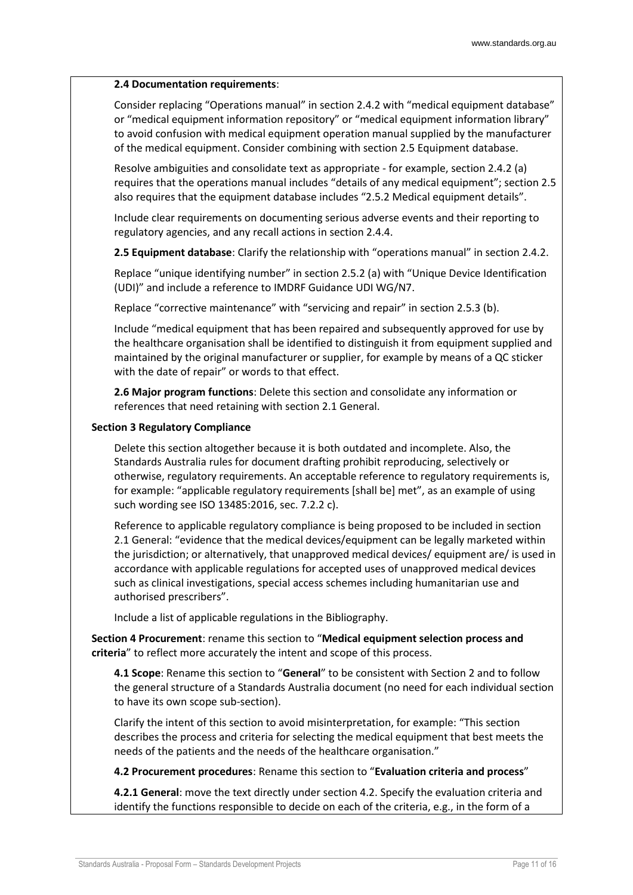#### **2.4 Documentation requirements**:

Consider replacing "Operations manual" in section 2.4.2 with "medical equipment database" or "medical equipment information repository" or "medical equipment information library" to avoid confusion with medical equipment operation manual supplied by the manufacturer of the medical equipment. Consider combining with section 2.5 Equipment database.

Resolve ambiguities and consolidate text as appropriate - for example, section 2.4.2 (a) requires that the operations manual includes "details of any medical equipment"; section 2.5 also requires that the equipment database includes "2.5.2 Medical equipment details".

Include clear requirements on documenting serious adverse events and their reporting to regulatory agencies, and any recall actions in section 2.4.4.

**2.5 Equipment database**: Clarify the relationship with "operations manual" in section 2.4.2.

Replace "unique identifying number" in section 2.5.2 (a) with "Unique Device Identification (UDI)" and include a reference to IMDRF Guidance UDI WG/N7.

Replace "corrective maintenance" with "servicing and repair" in section 2.5.3 (b).

Include "medical equipment that has been repaired and subsequently approved for use by the healthcare organisation shall be identified to distinguish it from equipment supplied and maintained by the original manufacturer or supplier, for example by means of a QC sticker with the date of repair" or words to that effect.

**2.6 Major program functions**: Delete this section and consolidate any information or references that need retaining with section 2.1 General.

#### **Section 3 Regulatory Compliance**

Delete this section altogether because it is both outdated and incomplete. Also, the Standards Australia rules for document drafting prohibit reproducing, selectively or otherwise, regulatory requirements. An acceptable reference to regulatory requirements is, for example: "applicable regulatory requirements [shall be] met", as an example of using such wording see ISO 13485:2016, sec. 7.2.2 c).

Reference to applicable regulatory compliance is being proposed to be included in section 2.1 General: "evidence that the medical devices/equipment can be legally marketed within the jurisdiction; or alternatively, that unapproved medical devices/ equipment are/ is used in accordance with applicable regulations for accepted uses of unapproved medical devices such as clinical investigations, special access schemes including humanitarian use and authorised prescribers".

Include a list of applicable regulations in the Bibliography.

**Section 4 Procurement**: rename this section to "**Medical equipment selection process and criteria**" to reflect more accurately the intent and scope of this process.

**4.1 Scope**: Rename this section to "**General**" to be consistent with Section 2 and to follow the general structure of a Standards Australia document (no need for each individual section to have its own scope sub-section).

Clarify the intent of this section to avoid misinterpretation, for example: "This section describes the process and criteria for selecting the medical equipment that best meets the needs of the patients and the needs of the healthcare organisation."

**4.2 Procurement procedures**: Rename this section to "**Evaluation criteria and process**"

**4.2.1 General**: move the text directly under section 4.2. Specify the evaluation criteria and identify the functions responsible to decide on each of the criteria, e.g., in the form of a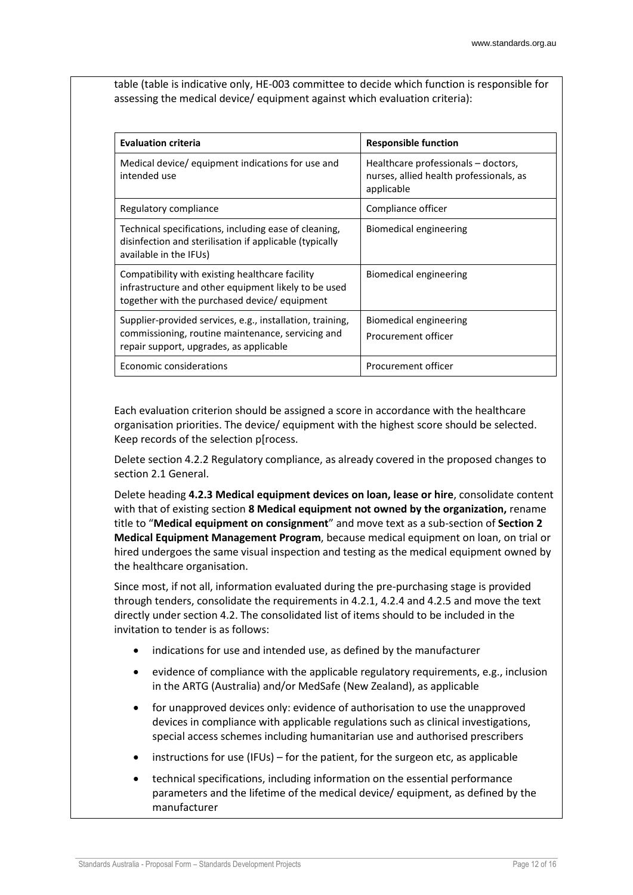table (table is indicative only, HE-003 committee to decide which function is responsible for assessing the medical device/ equipment against which evaluation criteria):

| <b>Evaluation criteria</b>                                                                                                                                | <b>Responsible function</b>                                                                  |
|-----------------------------------------------------------------------------------------------------------------------------------------------------------|----------------------------------------------------------------------------------------------|
| Medical device/ equipment indications for use and<br>intended use                                                                                         | Healthcare professionals – doctors,<br>nurses, allied health professionals, as<br>applicable |
| Regulatory compliance                                                                                                                                     | Compliance officer                                                                           |
| Technical specifications, including ease of cleaning,<br>disinfection and sterilisation if applicable (typically<br>available in the IFUs)                | Biomedical engineering                                                                       |
| Compatibility with existing healthcare facility<br>infrastructure and other equipment likely to be used<br>together with the purchased device/ equipment  | <b>Biomedical engineering</b>                                                                |
| Supplier-provided services, e.g., installation, training,<br>commissioning, routine maintenance, servicing and<br>repair support, upgrades, as applicable | Biomedical engineering<br>Procurement officer                                                |
| Economic considerations                                                                                                                                   | Procurement officer                                                                          |

Each evaluation criterion should be assigned a score in accordance with the healthcare organisation priorities. The device/ equipment with the highest score should be selected. Keep records of the selection p[rocess.

Delete section 4.2.2 Regulatory compliance, as already covered in the proposed changes to section 2.1 General.

Delete heading **4.2.3 Medical equipment devices on loan, lease or hire**, consolidate content with that of existing section **8 Medical equipment not owned by the organization,** rename title to "**Medical equipment on consignment**" and move text as a sub-section of **Section 2 Medical Equipment Management Program**, because medical equipment on loan, on trial or hired undergoes the same visual inspection and testing as the medical equipment owned by the healthcare organisation.

Since most, if not all, information evaluated during the pre-purchasing stage is provided through tenders, consolidate the requirements in 4.2.1, 4.2.4 and 4.2.5 and move the text directly under section 4.2. The consolidated list of items should to be included in the invitation to tender is as follows:

- indications for use and intended use, as defined by the manufacturer
- evidence of compliance with the applicable regulatory requirements, e.g., inclusion in the ARTG (Australia) and/or MedSafe (New Zealand), as applicable
- for unapproved devices only: evidence of authorisation to use the unapproved devices in compliance with applicable regulations such as clinical investigations, special access schemes including humanitarian use and authorised prescribers
- instructions for use (IFUs) for the patient, for the surgeon etc, as applicable
- technical specifications, including information on the essential performance parameters and the lifetime of the medical device/ equipment, as defined by the manufacturer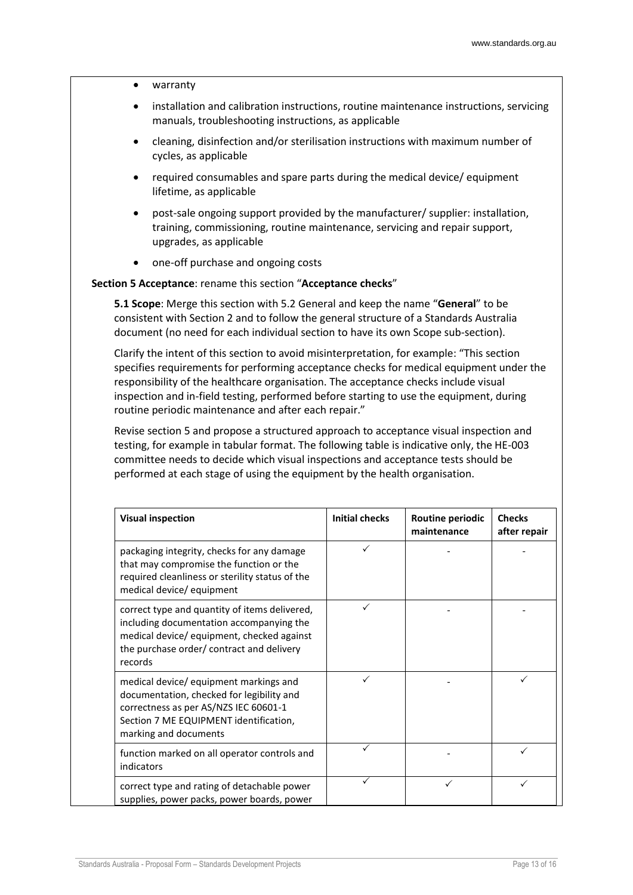- warranty
- installation and calibration instructions, routine maintenance instructions, servicing manuals, troubleshooting instructions, as applicable
- cleaning, disinfection and/or sterilisation instructions with maximum number of cycles, as applicable
- required consumables and spare parts during the medical device/ equipment lifetime, as applicable
- post-sale ongoing support provided by the manufacturer/ supplier: installation, training, commissioning, routine maintenance, servicing and repair support, upgrades, as applicable
- one-off purchase and ongoing costs

#### **Section 5 Acceptance**: rename this section "**Acceptance checks**"

**5.1 Scope**: Merge this section with 5.2 General and keep the name "**General**" to be consistent with Section 2 and to follow the general structure of a Standards Australia document (no need for each individual section to have its own Scope sub-section).

Clarify the intent of this section to avoid misinterpretation, for example: "This section specifies requirements for performing acceptance checks for medical equipment under the responsibility of the healthcare organisation. The acceptance checks include visual inspection and in-field testing, performed before starting to use the equipment, during routine periodic maintenance and after each repair."

Revise section 5 and propose a structured approach to acceptance visual inspection and testing, for example in tabular format. The following table is indicative only, the HE-003 committee needs to decide which visual inspections and acceptance tests should be performed at each stage of using the equipment by the health organisation.

| <b>Visual inspection</b>                                                                                                                                                                        | <b>Initial checks</b> | Routine periodic<br>maintenance | <b>Checks</b><br>after repair |
|-------------------------------------------------------------------------------------------------------------------------------------------------------------------------------------------------|-----------------------|---------------------------------|-------------------------------|
| packaging integrity, checks for any damage<br>that may compromise the function or the<br>required cleanliness or sterility status of the<br>medical device/ equipment                           |                       |                                 |                               |
| correct type and quantity of items delivered,<br>including documentation accompanying the<br>medical device/ equipment, checked against<br>the purchase order/contract and delivery<br>records  |                       |                                 |                               |
| medical device/ equipment markings and<br>documentation, checked for legibility and<br>correctness as per AS/NZS IEC 60601-1<br>Section 7 ME EQUIPMENT identification,<br>marking and documents |                       |                                 |                               |
| function marked on all operator controls and<br>indicators                                                                                                                                      |                       |                                 |                               |
| correct type and rating of detachable power<br>supplies, power packs, power boards, power                                                                                                       |                       |                                 |                               |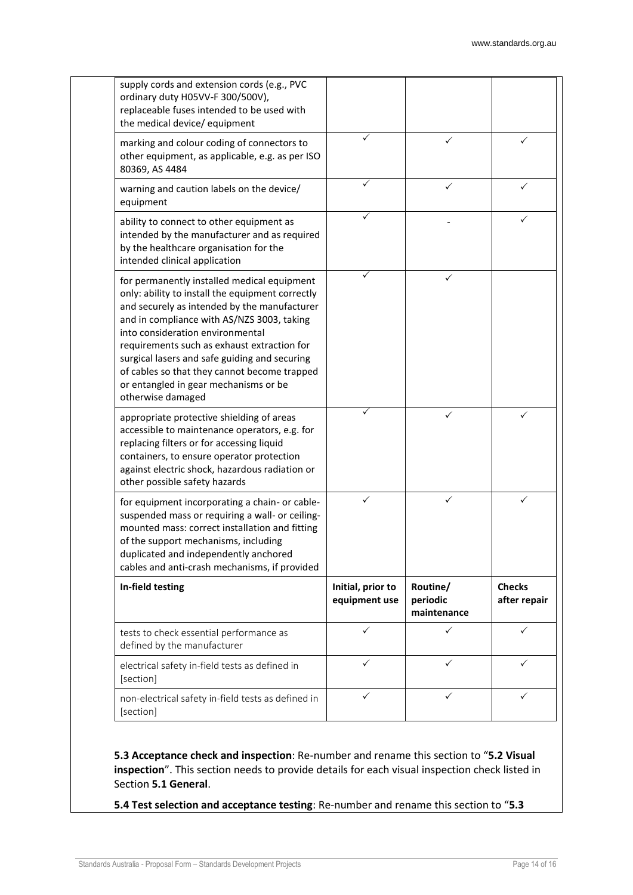| supply cords and extension cords (e.g., PVC<br>ordinary duty H05VV-F 300/500V),<br>replaceable fuses intended to be used with<br>the medical device/ equipment                                                                                                                                                                                                                                                                                  |                                    |                                     |                               |
|-------------------------------------------------------------------------------------------------------------------------------------------------------------------------------------------------------------------------------------------------------------------------------------------------------------------------------------------------------------------------------------------------------------------------------------------------|------------------------------------|-------------------------------------|-------------------------------|
| marking and colour coding of connectors to<br>other equipment, as applicable, e.g. as per ISO<br>80369, AS 4484                                                                                                                                                                                                                                                                                                                                 |                                    | ✓                                   |                               |
| warning and caution labels on the device/<br>equipment                                                                                                                                                                                                                                                                                                                                                                                          | ✓                                  | ✓                                   | ✓                             |
| ability to connect to other equipment as<br>intended by the manufacturer and as required<br>by the healthcare organisation for the<br>intended clinical application                                                                                                                                                                                                                                                                             |                                    |                                     | ✓                             |
| for permanently installed medical equipment<br>only: ability to install the equipment correctly<br>and securely as intended by the manufacturer<br>and in compliance with AS/NZS 3003, taking<br>into consideration environmental<br>requirements such as exhaust extraction for<br>surgical lasers and safe guiding and securing<br>of cables so that they cannot become trapped<br>or entangled in gear mechanisms or be<br>otherwise damaged | ✓                                  | ✓                                   |                               |
| appropriate protective shielding of areas<br>accessible to maintenance operators, e.g. for<br>replacing filters or for accessing liquid<br>containers, to ensure operator protection<br>against electric shock, hazardous radiation or<br>other possible safety hazards                                                                                                                                                                         |                                    | ✓                                   |                               |
| for equipment incorporating a chain- or cable-<br>suspended mass or requiring a wall- or ceiling-<br>mounted mass: correct installation and fitting<br>of the support mechanisms, including<br>duplicated and independently anchored<br>cables and anti-crash mechanisms, if provided                                                                                                                                                           | ✓                                  | ✓                                   | ✓                             |
| In-field testing                                                                                                                                                                                                                                                                                                                                                                                                                                | Initial, prior to<br>equipment use | Routine/<br>periodic<br>maintenance | <b>Checks</b><br>after repair |
| tests to check essential performance as<br>defined by the manufacturer                                                                                                                                                                                                                                                                                                                                                                          | $\checkmark$                       | $\checkmark$                        | $\checkmark$                  |
| electrical safety in-field tests as defined in<br>[section]                                                                                                                                                                                                                                                                                                                                                                                     | ✓                                  | $\checkmark$                        | ✓                             |
| non-electrical safety in-field tests as defined in<br>[section]                                                                                                                                                                                                                                                                                                                                                                                 | ✓                                  | ✓                                   | ✓                             |

**5.3 Acceptance check and inspection**: Re-number and rename this section to "**5.2 Visual inspection**". This section needs to provide details for each visual inspection check listed in Section **5.1 General**.

**5.4 Test selection and acceptance testing**: Re-number and rename this section to "**5.3**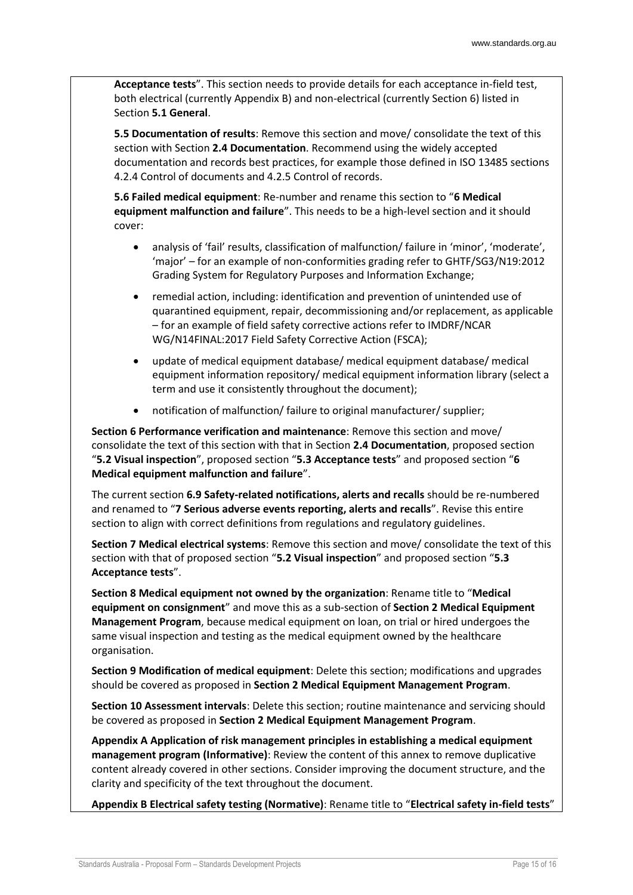**Acceptance tests**". This section needs to provide details for each acceptance in-field test, both electrical (currently Appendix B) and non-electrical (currently Section 6) listed in Section **5.1 General**.

**5.5 Documentation of results**: Remove this section and move/ consolidate the text of this section with Section **2.4 Documentation**. Recommend using the widely accepted documentation and records best practices, for example those defined in ISO 13485 sections 4.2.4 Control of documents and 4.2.5 Control of records.

**5.6 Failed medical equipment**: Re-number and rename this section to "**6 Medical equipment malfunction and failure**". This needs to be a high-level section and it should cover:

- analysis of 'fail' results, classification of malfunction/ failure in 'minor', 'moderate', 'major' – for an example of non-conformities grading refer to GHTF/SG3/N19:2012 Grading System for Regulatory Purposes and Information Exchange;
- remedial action, including: identification and prevention of unintended use of quarantined equipment, repair, decommissioning and/or replacement, as applicable – for an example of field safety corrective actions refer to IMDRF/NCAR WG/N14FINAL:2017 Field Safety Corrective Action (FSCA);
- update of medical equipment database/ medical equipment database/ medical equipment information repository/ medical equipment information library (select a term and use it consistently throughout the document);
- notification of malfunction/ failure to original manufacturer/ supplier;

**Section 6 Performance verification and maintenance**: Remove this section and move/ consolidate the text of this section with that in Section **2.4 Documentation**, proposed section "**5.2 Visual inspection**", proposed section "**5.3 Acceptance tests**" and proposed section "**6 Medical equipment malfunction and failure**".

The current section **6.9 Safety-related notifications, alerts and recalls** should be re-numbered and renamed to "**7 Serious adverse events reporting, alerts and recalls**". Revise this entire section to align with correct definitions from regulations and regulatory guidelines.

**Section 7 Medical electrical systems**: Remove this section and move/ consolidate the text of this section with that of proposed section "**5.2 Visual inspection**" and proposed section "**5.3 Acceptance tests**".

**Section 8 Medical equipment not owned by the organization**: Rename title to "**Medical equipment on consignment**" and move this as a sub-section of **Section 2 Medical Equipment Management Program**, because medical equipment on loan, on trial or hired undergoes the same visual inspection and testing as the medical equipment owned by the healthcare organisation.

**Section 9 Modification of medical equipment**: Delete this section; modifications and upgrades should be covered as proposed in **Section 2 Medical Equipment Management Program**.

**Section 10 Assessment intervals**: Delete this section; routine maintenance and servicing should be covered as proposed in **Section 2 Medical Equipment Management Program**.

**Appendix A Application of risk management principles in establishing a medical equipment management program (Informative)**: Review the content of this annex to remove duplicative content already covered in other sections. Consider improving the document structure, and the clarity and specificity of the text throughout the document.

**Appendix B Electrical safety testing (Normative)**: Rename title to "**Electrical safety in-field tests**"